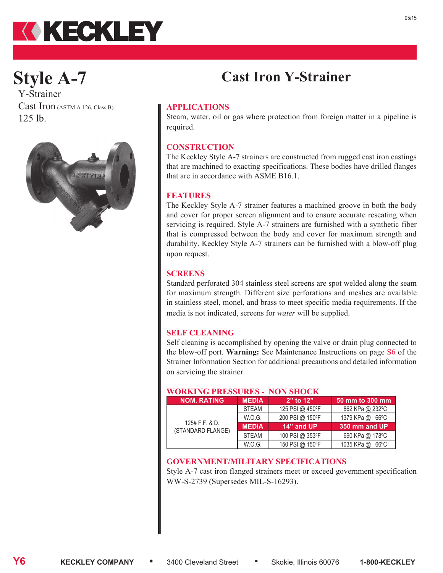# KKECKLEY

## **Style A-7**

Y-Strainer Cast Iron (ASTM A 126, Class B) 125 lb.



#### **APPLICATIONS**

Steam, water, oil or gas where protection from foreign matter in a pipeline is required.

**Cast Iron Y-Strainer**

#### **CONSTRUCTION**

The Keckley Style A-7 strainers are constructed from rugged cast iron castings that are machined to exacting specifications. These bodies have drilled flanges that are in accordance with ASME B16.1.

#### **FEATURES**

The Keckley Style A-7 strainer features a machined groove in both the body and cover for proper screen alignment and to ensure accurate reseating when servicing is required. Style A-7 strainers are furnished with a synthetic fiber that is compressed between the body and cover for maximum strength and durability. Keckley Style A-7 strainers can be furnished with a blow-off plug upon request.

#### **SCREENS**

Standard perforated 304 stainless steel screens are spot welded along the seam for maximum strength. Different size perforations and meshes are available in stainless steel, monel, and brass to meet specific media requirements. If the media is not indicated, screens for *water* will be supplied.

#### **SELF CLEANING**

Self cleaning is accomplished by opening the valve or drain plug connected to the blow-off port. **Warning:** See Maintenance Instructions on page S6 of the Strainer Information Section for additional precautions and detailed information on servicing the strainer.

### **WORKING PRESSURES - NON SHOCK**

| <b>NOM. RATING</b>                    | <b>MEDIA</b> | $2"$ to $12"$   | 50 mm to 300 mm |  |  |  |  |
|---------------------------------------|--------------|-----------------|-----------------|--|--|--|--|
|                                       | <b>STEAM</b> | 125 PSI @ 450°F | 862 KPa @ 232°C |  |  |  |  |
|                                       | W.O.G.       | 200 PSI @ 150°F | 1379 KPa @ 66°C |  |  |  |  |
| $125#$ F.F. & D.<br>(STANDARD FLANGE) | <b>MEDIA</b> | 14" and UP      | 350 mm and UP   |  |  |  |  |
|                                       | <b>STEAM</b> | 100 PSI @ 353°F | 690 KPa @ 178°C |  |  |  |  |
|                                       |              |                 |                 |  |  |  |  |

#### **GOVERNMENT/MILITARY SPECIFICATIONS**

Style A-7 cast iron flanged strainers meet or exceed government specification WW-S-2739 (Supersedes MIL-S-16293).